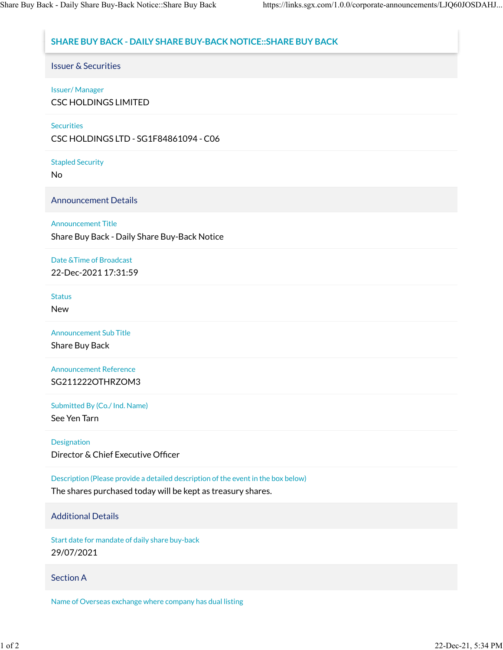# **SHARE BUY BACK - DAILY SHARE BUY-BACK NOTICE::SHARE BUY BACK**

Issuer & Securities

### Issuer/ Manager

CSC HOLDINGS LIMITED

#### **Securities**

CSC HOLDINGS LTD - SG1F84861094 - C06

Stapled Security

No

Announcement Details

## Announcement Title

Share Buy Back - Daily Share Buy-Back Notice

#### Date &Time of Broadcast 22-Dec-2021 17:31:59

**Status** 

New

Announcement Sub Title

Share Buy Back

Announcement Reference SG211222OTHRZOM3

Submitted By (Co./ Ind. Name)

See Yen Tarn

Designation

Director & Chief Executive Officer

Description (Please provide a detailed description of the event in the box below)

The shares purchased today will be kept as treasury shares.

### Additional Details

Start date for mandate of daily share buy-back 29/07/2021

#### Section A

Name of Overseas exchange where company has dual listing